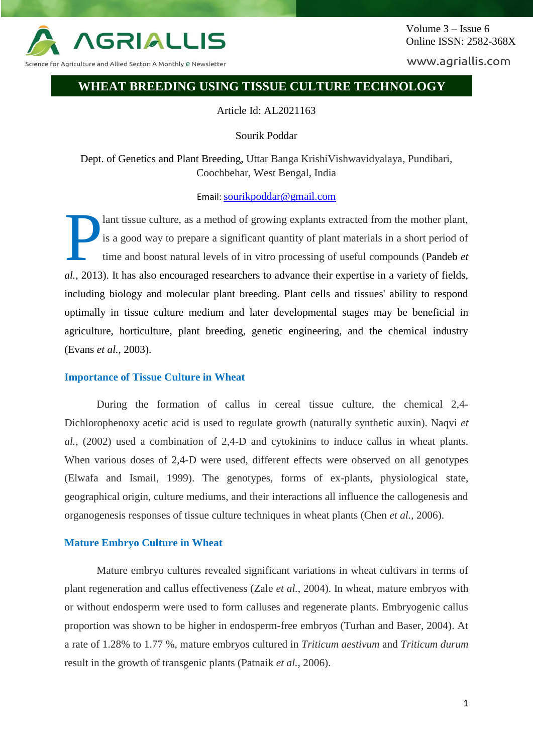

Science for Agriculture and Allied Sector: A Monthly <mark>e N</mark>ewsletter

www.agriallis.com

# **WHEAT BREEDING USING TISSUE CULTURE TECHNOLOGY**

Article Id: AL2021163

Sourik Poddar

Dept. of Genetics and Plant Breeding, Uttar Banga KrishiVishwavidyalaya, Pundibari, Coochbehar, West Bengal, India

## Email: [sourikpoddar@gmail.com](mailto:sourikpoddar@gmail.com)

lant tissue culture, as a method of growing explants extracted from the mother plant, is a good way to prepare a significant quantity of plant materials in a short period of time and boost natural levels of in vitro processing of useful compounds (Pandeb *et al.,* 2013). It has also encouraged researchers to advance their expertise in a variety of fields, including biology and molecular plant breeding. Plant cells and tissues' ability to respond optimally in tissue culture medium and later developmental stages may be beneficial in agriculture, horticulture, plant breeding, genetic engineering, and the chemical industry (Evans *et al.,* 2003). P

## **Importance of Tissue Culture in Wheat**

During the formation of callus in cereal tissue culture, the chemical 2,4- Dichlorophenoxy acetic acid is used to regulate growth (naturally synthetic auxin). Naqvi *et al.,* (2002) used a combination of 2,4-D and cytokinins to induce callus in wheat plants. When various doses of 2,4-D were used, different effects were observed on all genotypes (Elwafa and Ismail, 1999). The genotypes, forms of ex-plants, physiological state, geographical origin, culture mediums, and their interactions all influence the callogenesis and organogenesis responses of tissue culture techniques in wheat plants (Chen *et al.,* 2006).

## **Mature Embryo Culture in Wheat**

Mature embryo cultures revealed significant variations in wheat cultivars in terms of plant regeneration and callus effectiveness (Zale *et al.,* 2004). In wheat, mature embryos with or without endosperm were used to form calluses and regenerate plants. Embryogenic callus proportion was shown to be higher in endosperm-free embryos (Turhan and Baser, 2004). At a rate of 1.28% to 1.77 %, mature embryos cultured in *Triticum aestivum* and *Triticum durum* result in the growth of transgenic plants (Patnaik *et al.,* 2006).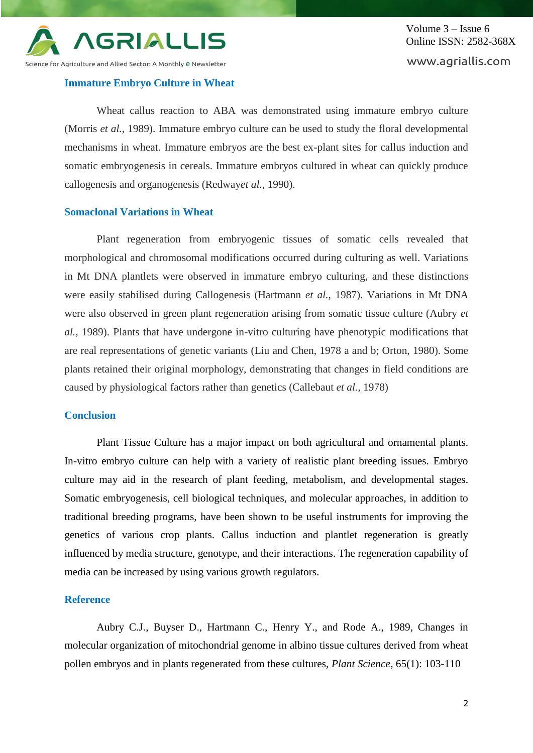

## **Immature Embryo Culture in Wheat**

Wheat callus reaction to ABA was demonstrated using immature embryo culture (Morris *et al.,* 1989). Immature embryo culture can be used to study the floral developmental mechanisms in wheat. Immature embryos are the best ex-plant sites for callus induction and somatic embryogenesis in cereals. Immature embryos cultured in wheat can quickly produce callogenesis and organogenesis (Redway*et al.,* 1990).

### **Somaclonal Variations in Wheat**

Plant regeneration from embryogenic tissues of somatic cells revealed that morphological and chromosomal modifications occurred during culturing as well. Variations in Mt DNA plantlets were observed in immature embryo culturing, and these distinctions were easily stabilised during Callogenesis (Hartmann *et al.,* 1987). Variations in Mt DNA were also observed in green plant regeneration arising from somatic tissue culture (Aubry *et al.,* 1989). Plants that have undergone in-vitro culturing have phenotypic modifications that are real representations of genetic variants (Liu and Chen, 1978 a and b; Orton, 1980). Some plants retained their original morphology, demonstrating that changes in field conditions are caused by physiological factors rather than genetics (Callebaut *et al.,* 1978)

## **Conclusion**

Plant Tissue Culture has a major impact on both agricultural and ornamental plants. In-vitro embryo culture can help with a variety of realistic plant breeding issues. Embryo culture may aid in the research of plant feeding, metabolism, and developmental stages. Somatic embryogenesis, cell biological techniques, and molecular approaches, in addition to traditional breeding programs, have been shown to be useful instruments for improving the genetics of various crop plants. Callus induction and plantlet regeneration is greatly influenced by media structure, genotype, and their interactions. The regeneration capability of media can be increased by using various growth regulators.

#### **Reference**

Aubry C.J., Buyser D., Hartmann C., Henry Y., and Rode A., 1989, Changes in molecular organization of mitochondrial genome in albino tissue cultures derived from wheat pollen embryos and in plants regenerated from these cultures, *Plant Science*, 65(1): 103-110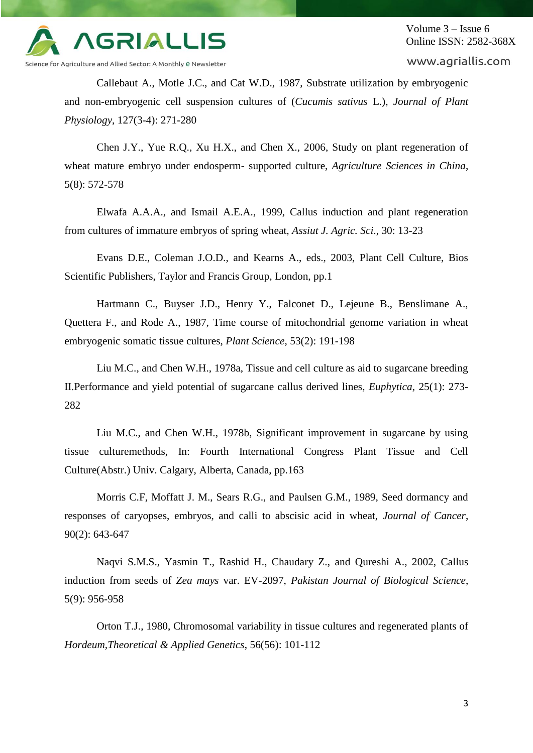

Volume 3 – Issue 6 Online ISSN: 2582-368X

www.agriallis.com

Callebaut A., Motle J.C., and Cat W.D., 1987, Substrate utilization by embryogenic and non-embryogenic cell suspension cultures of (*Cucumis sativus* L.), *Journal of Plant Physiology*, 127(3-4): 271-280

Chen J.Y., Yue R.Q., Xu H.X., and Chen X., 2006, Study on plant regeneration of wheat mature embryo under endosperm- supported culture, *Agriculture Sciences in China*, 5(8): 572-578

Elwafa A.A.A., and Ismail A.E.A., 1999, Callus induction and plant regeneration from cultures of immature embryos of spring wheat, *Assiut J. Agric. Sci*., 30: 13-23

Evans D.E., Coleman J.O.D., and Kearns A., eds., 2003, Plant Cell Culture, Bios Scientific Publishers, Taylor and Francis Group, London, pp.1

Hartmann C., Buyser J.D., Henry Y., Falconet D., Lejeune B., Benslimane A., Quettera F., and Rode A., 1987, Time course of mitochondrial genome variation in wheat embryogenic somatic tissue cultures, *Plant Science*, 53(2): 191-198

Liu M.C., and Chen W.H., 1978a, Tissue and cell culture as aid to sugarcane breeding II.Performance and yield potential of sugarcane callus derived lines*, Euphytica*, 25(1): 273- 282

Liu M.C., and Chen W.H., 1978b, Significant improvement in sugarcane by using tissue culturemethods, In: Fourth International Congress Plant Tissue and Cell Culture(Abstr.) Univ. Calgary, Alberta, Canada, pp.163

Morris C.F, Moffatt J. M., Sears R.G., and Paulsen G.M., 1989, Seed dormancy and responses of caryopses, embryos, and calli to abscisic acid in wheat, *Journal of Cancer*, 90(2): 643-647

Naqvi S.M.S., Yasmin T., Rashid H., Chaudary Z., and Qureshi A., 2002, Callus induction from seeds of *Zea mays* var. EV-2097, *Pakistan Journal of Biological Science*, 5(9): 956-958

Orton T.J., 1980, Chromosomal variability in tissue cultures and regenerated plants of *Hordeum,Theoretical & Applied Genetics*, 56(56): 101-112